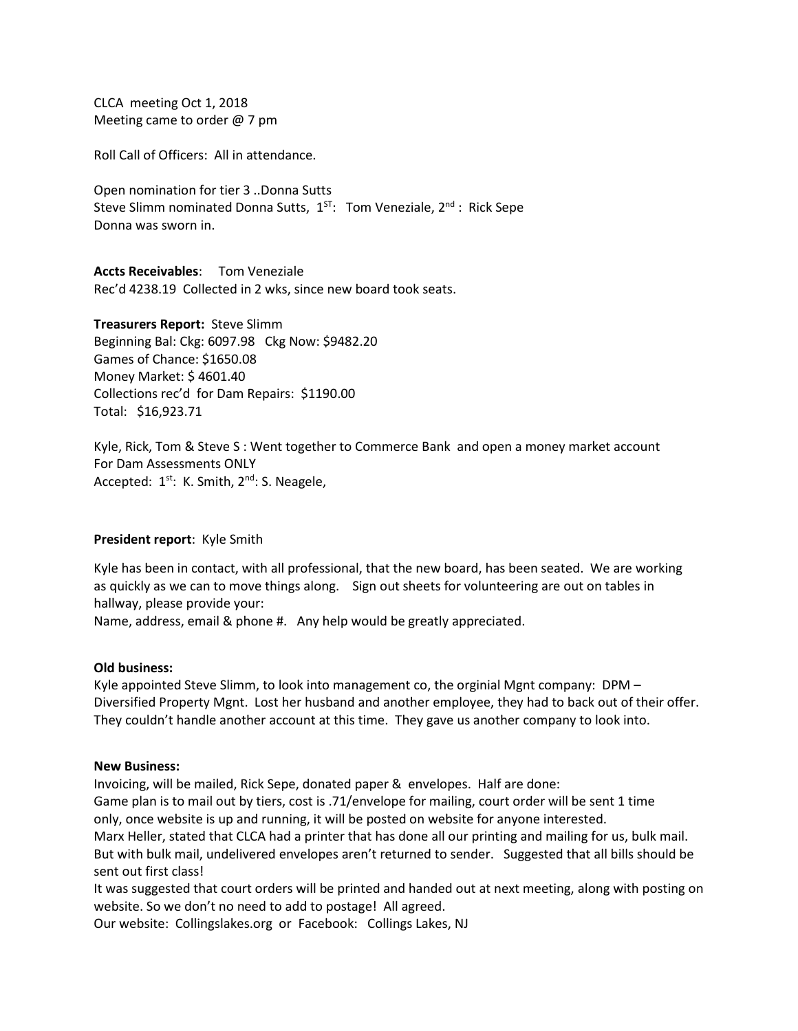CLCA meeting Oct 1, 2018 Meeting came to order @ 7 pm

Roll Call of Officers: All in attendance.

Open nomination for tier 3 ..Donna Sutts Steve Slimm nominated Donna Sutts, 1<sup>ST</sup>: Tom Veneziale, 2<sup>nd</sup>: Rick Sepe Donna was sworn in.

**Accts Receivables**: Tom Veneziale Rec'd 4238.19 Collected in 2 wks, since new board took seats.

**Treasurers Report:** Steve Slimm Beginning Bal: Ckg: 6097.98 Ckg Now: \$9482.20 Games of Chance: \$1650.08 Money Market: \$ 4601.40 Collections rec'd for Dam Repairs: \$1190.00 Total: \$16,923.71

Kyle, Rick, Tom & Steve S : Went together to Commerce Bank and open a money market account For Dam Assessments ONLY Accepted:  $1^{st}$ : K. Smith,  $2^{nd}$ : S. Neagele,

## **President report**: Kyle Smith

Kyle has been in contact, with all professional, that the new board, has been seated. We are working as quickly as we can to move things along. Sign out sheets for volunteering are out on tables in hallway, please provide your:

Name, address, email & phone #. Any help would be greatly appreciated.

## **Old business:**

Kyle appointed Steve Slimm, to look into management co, the orginial Mgnt company: DPM – Diversified Property Mgnt. Lost her husband and another employee, they had to back out of their offer. They couldn't handle another account at this time. They gave us another company to look into.

## **New Business:**

Invoicing, will be mailed, Rick Sepe, donated paper & envelopes. Half are done: Game plan is to mail out by tiers, cost is .71/envelope for mailing, court order will be sent 1 time only, once website is up and running, it will be posted on website for anyone interested. Marx Heller, stated that CLCA had a printer that has done all our printing and mailing for us, bulk mail. But with bulk mail, undelivered envelopes aren't returned to sender. Suggested that all bills should be

sent out first class! It was suggested that court orders will be printed and handed out at next meeting, along with posting on

website. So we don't no need to add to postage! All agreed.

Our website: Collingslakes.org or Facebook: Collings Lakes, NJ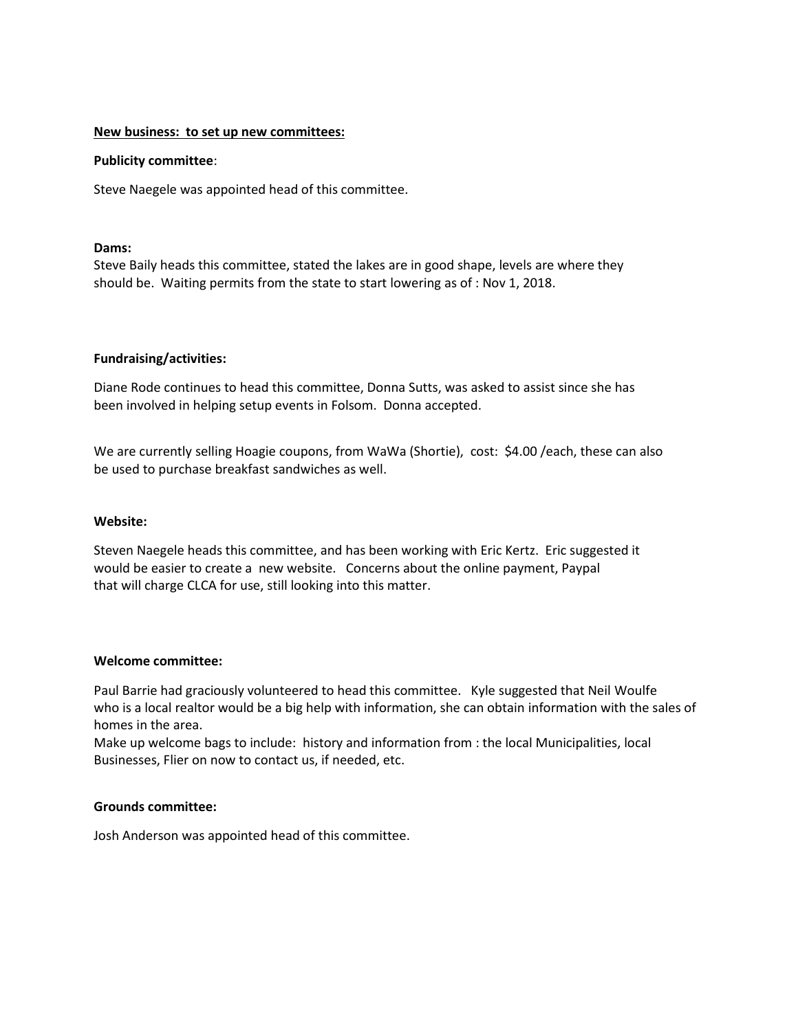## **New business: to set up new committees:**

## **Publicity committee**:

Steve Naegele was appointed head of this committee.

# **Dams:**

Steve Baily heads this committee, stated the lakes are in good shape, levels are where they should be. Waiting permits from the state to start lowering as of : Nov 1, 2018.

# **Fundraising/activities:**

Diane Rode continues to head this committee, Donna Sutts, was asked to assist since she has been involved in helping setup events in Folsom. Donna accepted.

We are currently selling Hoagie coupons, from WaWa (Shortie), cost: \$4.00 /each, these can also be used to purchase breakfast sandwiches as well.

## **Website:**

Steven Naegele heads this committee, and has been working with Eric Kertz. Eric suggested it would be easier to create a new website. Concerns about the online payment, Paypal that will charge CLCA for use, still looking into this matter.

## **Welcome committee:**

Paul Barrie had graciously volunteered to head this committee. Kyle suggested that Neil Woulfe who is a local realtor would be a big help with information, she can obtain information with the sales of homes in the area.

Make up welcome bags to include: history and information from : the local Municipalities, local Businesses, Flier on now to contact us, if needed, etc.

# **Grounds committee:**

Josh Anderson was appointed head of this committee.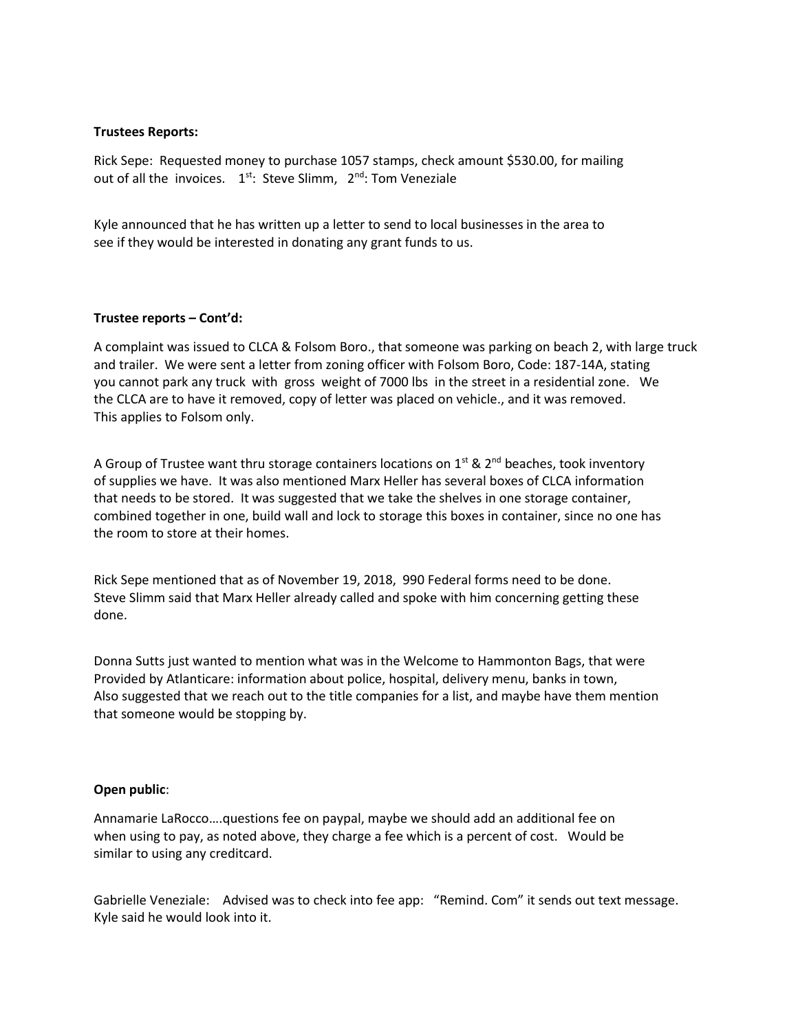# **Trustees Reports:**

Rick Sepe: Requested money to purchase 1057 stamps, check amount \$530.00, for mailing out of all the invoices. 1<sup>st</sup>: Steve Slimm, 2<sup>nd</sup>: Tom Veneziale

Kyle announced that he has written up a letter to send to local businesses in the area to see if they would be interested in donating any grant funds to us.

# **Trustee reports – Cont'd:**

A complaint was issued to CLCA & Folsom Boro., that someone was parking on beach 2, with large truck and trailer. We were sent a letter from zoning officer with Folsom Boro, Code: 187-14A, stating you cannot park any truck with gross weight of 7000 lbs in the street in a residential zone. We the CLCA are to have it removed, copy of letter was placed on vehicle., and it was removed. This applies to Folsom only.

A Group of Trustee want thru storage containers locations on  $1<sup>st</sup>$  &  $2<sup>nd</sup>$  beaches, took inventory of supplies we have. It was also mentioned Marx Heller has several boxes of CLCA information that needs to be stored. It was suggested that we take the shelves in one storage container, combined together in one, build wall and lock to storage this boxes in container, since no one has the room to store at their homes.

Rick Sepe mentioned that as of November 19, 2018, 990 Federal forms need to be done. Steve Slimm said that Marx Heller already called and spoke with him concerning getting these done.

Donna Sutts just wanted to mention what was in the Welcome to Hammonton Bags, that were Provided by Atlanticare: information about police, hospital, delivery menu, banks in town, Also suggested that we reach out to the title companies for a list, and maybe have them mention that someone would be stopping by.

## **Open public**:

Annamarie LaRocco….questions fee on paypal, maybe we should add an additional fee on when using to pay, as noted above, they charge a fee which is a percent of cost. Would be similar to using any creditcard.

Gabrielle Veneziale: Advised was to check into fee app: "Remind. Com" it sends out text message. Kyle said he would look into it.